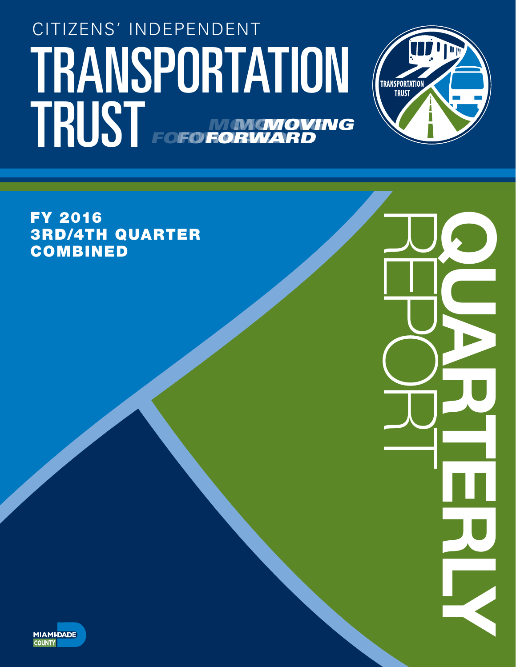## TRANSPORTATION (TRANSPORTATION CITIZENS' INDEPENDENT TRUST FOFO NONGNOVING *FORWARD MOVING* **FORWA** *MOVING* **FOFO FORV**



REPORT QUARTERLY

FY 2016 3RD/4TH QUARTER **COMBINED** 

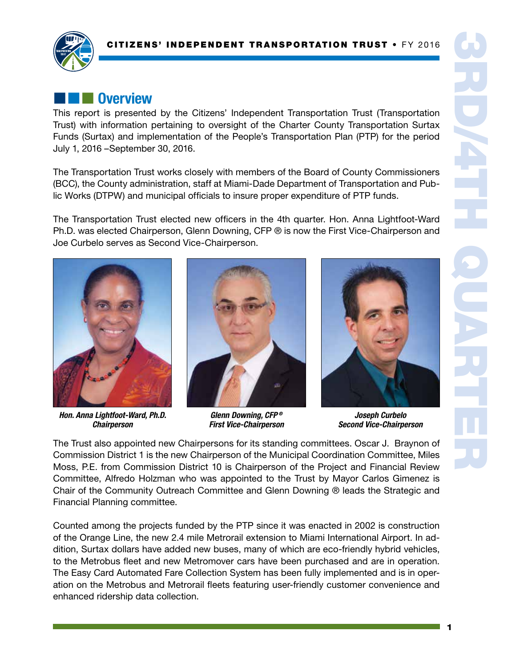

## **External Overview**

This report is presented by the Citizens' Independent Transportation Trust (Transportation Trust) with information pertaining to oversight of the Charter County Transportation Surtax Funds (Surtax) and implementation of the People's Transportation Plan (PTP) for the period July 1, 2016 –September 30, 2016.

The Transportation Trust works closely with members of the Board of County Commissioners (BCC), the County administration, staff at Miami-Dade Department of Transportation and Public Works (DTPW) and municipal officials to insure proper expenditure of PTP funds.

The Transportation Trust elected new officers in the 4th quarter. Hon. Anna Lightfoot-Ward Ph.D. was elected Chairperson, Glenn Downing, CFP ® is now the First Vice-Chairperson and Joe Curbelo serves as Second Vice-Chairperson.



*Hon. Anna Lightfoot-Ward, Ph.D. Chairperson*



*Glenn Downing, CFP ® First Vice-Chairperson*



*Joseph Curbelo Second Vice-Chairperson*

The Trust also appointed new Chairpersons for its standing committees. Oscar J. Braynon of Commission District 1 is the new Chairperson of the Municipal Coordination Committee, Miles Moss, P.E. from Commission District 10 is Chairperson of the Project and Financial Review Committee, Alfredo Holzman who was appointed to the Trust by Mayor Carlos Gimenez is Chair of the Community Outreach Committee and Glenn Downing ® leads the Strategic and Financial Planning committee.

Counted among the projects funded by the PTP since it was enacted in 2002 is construction of the Orange Line, the new 2.4 mile Metrorail extension to Miami International Airport. In addition, Surtax dollars have added new buses, many of which are eco-friendly hybrid vehicles, to the Metrobus fleet and new Metromover cars have been purchased and are in operation. The Easy Card Automated Fare Collection System has been fully implemented and is in operation on the Metrobus and Metrorail fleets featuring user-friendly customer convenience and enhanced ridership data collection.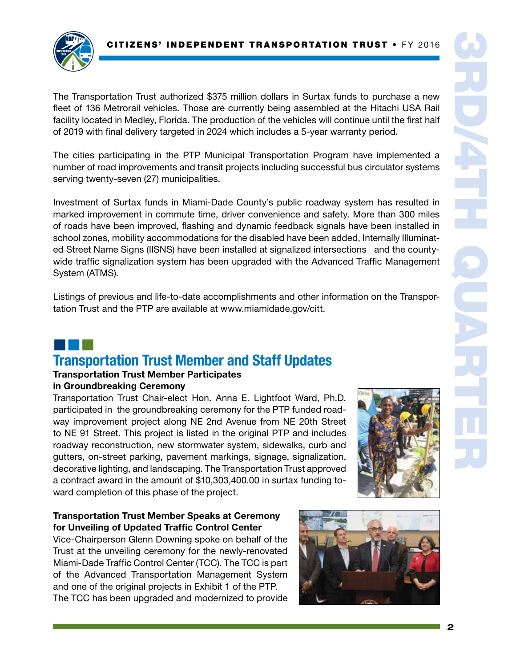

The Transportation Trust authorized \$375 million dollars in Surtax funds to purchase a new fleet of 136 Metrorail vehicles. Those are currently being assembled at the Hitachi USA Rail facility located in Medley, Florida. The production of the vehicles will continue until the first half of 2019 with final delivery targeted in 2024 which includes a 5-year warranty period.

The cities participating in the PTP Municipal Transportation Program have implemented a number of road improvements and transit projects including successful bus circulator systems serving twenty-seven (27) municipalities.

Investment of Surtax funds in Miami-Dade County's public roadway system has resulted in marked improvement in commute time, driver convenience and safety. More than 300 miles of roads have been improved, flashing and dynamic feedback signals have been installed in school zones, mobility accommodations for the disabled have been added, Internally Illuminated Street Name Signs (IISNS) have been installed at signalized intersections and the countywide traffic signalization system has been upgraded with the Advanced Traffic Management System (ATMS).

Listings of previous and life-to-date accomplishments and other information on the Transportation Trust and the PTP are available at www.miamidade.gov/citt.

## ¢¢¢ Transportation Trust Member and Staff Updates

#### Transportation Trust Member Participates in Groundbreaking Ceremony

Transportation Trust Chair-elect Hon. Anna E. Lightfoot Ward, Ph.D. participated in the groundbreaking ceremony for the PTP funded roadway improvement project along NE 2nd Avenue from NE 20th Street to NE 91 Street. This project is listed in the original PTP and includes roadway reconstruction, new stormwater system, sidewalks, curb and gutters, on-street parking, pavement markings, signage, signalization, decorative lighting, and landscaping. The Transportation Trust approved a contract award in the amount of \$10,303,400.00 in surtax funding toward completion of this phase of the project.



## Transportation Trust Member Speaks at Ceremony for Unveiling of Updated Traffic Control Center

Vice-Chairperson Glenn Downing spoke on behalf of the Trust at the unveiling ceremony for the newly-renovated Miami-Dade Traffic Control Center (TCC). The TCC is part of the Advanced Transportation Management System and one of the original projects in Exhibit 1 of the PTP. The TCC has been upgraded and modernized to provide

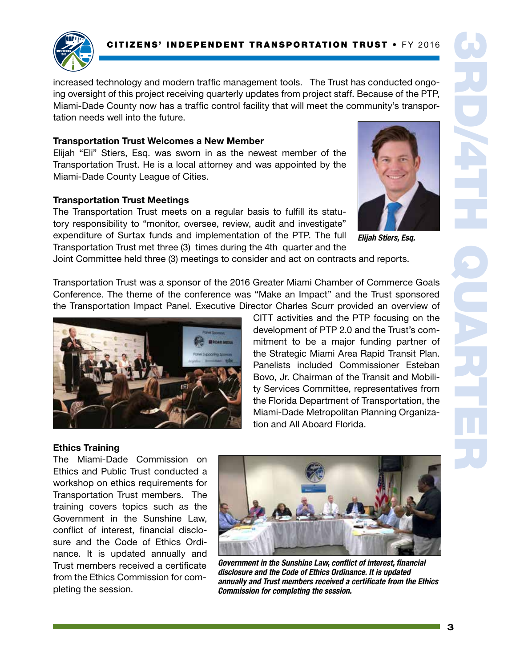

increased technology and modern traffic management tools. The Trust has conducted ongoing oversight of this project receiving quarterly updates from project staff. Because of the PTP, Miami-Dade County now has a traffic control facility that will meet the community's transportation needs well into the future.

#### Transportation Trust Welcomes a New Member

Elijah "Eli" Stiers, Esq. was sworn in as the newest member of the Transportation Trust. He is a local attorney and was appointed by the Miami-Dade County League of Cities.

#### Transportation Trust Meetings

The Transportation Trust meets on a regular basis to fulfill its statutory responsibility to "monitor, oversee, review, audit and investigate" expenditure of Surtax funds and implementation of the PTP. The full Transportation Trust met three (3) times during the 4th quarter and the



*Elijah Stiers, Esq.*

Joint Committee held three (3) meetings to consider and act on contracts and reports.

Transportation Trust was a sponsor of the 2016 Greater Miami Chamber of Commerce Goals Conference. The theme of the conference was "Make an Impact" and the Trust sponsored the Transportation Impact Panel. Executive Director Charles Scurr provided an overview of



CITT activities and the PTP focusing on the development of PTP 2.0 and the Trust's commitment to be a major funding partner of the Strategic Miami Area Rapid Transit Plan. Panelists included Commissioner Esteban Bovo, Jr. Chairman of the Transit and Mobility Services Committee, representatives from the Florida Department of Transportation, the Miami-Dade Metropolitan Planning Organization and All Aboard Florida.

#### Ethics Training

The Miami-Dade Commission on Ethics and Public Trust conducted a workshop on ethics requirements for Transportation Trust members. The training covers topics such as the Government in the Sunshine Law, conflict of interest, financial disclosure and the Code of Ethics Ordinance. It is updated annually and Trust members received a certificate from the Ethics Commission for completing the session.



*Government in the Sunshine Law, conflict of interest, financial disclosure and the Code of Ethics Ordinance. It is updated annually and Trust members received a certificate from the Ethics Commission for completing the session.*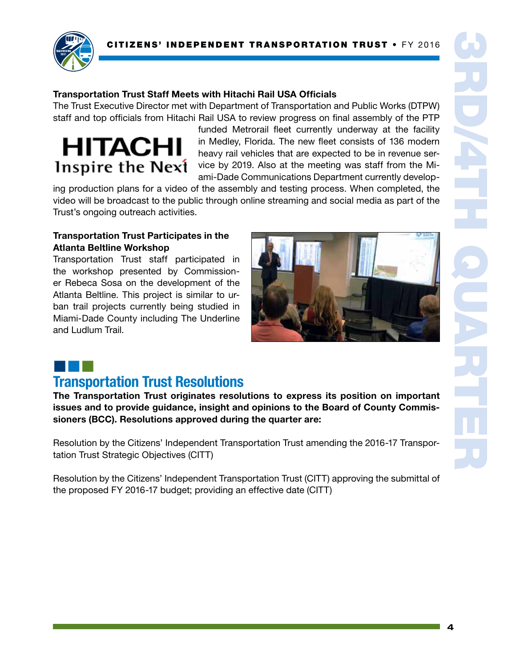

#### Transportation Trust Staff Meets with Hitachi Rail USA Officials

The Trust Executive Director met with Department of Transportation and Public Works (DTPW) staff and top officials from Hitachi Rail USA to review progress on final assembly of the PTP

# **HITACHI** Inspire the Next

funded Metrorail fleet currently underway at the facility in Medley, Florida. The new fleet consists of 136 modern heavy rail vehicles that are expected to be in revenue service by 2019. Also at the meeting was staff from the Miami-Dade Communications Department currently develop-

ing production plans for a video of the assembly and testing process. When completed, the video will be broadcast to the public through online streaming and social media as part of the Trust's ongoing outreach activities.

#### Transportation Trust Participates in the Atlanta Beltline Workshop

Transportation Trust staff participated in the workshop presented by Commissioner Rebeca Sosa on the development of the Atlanta Beltline. This project is similar to urban trail projects currently being studied in Miami-Dade County including The Underline and Ludlum Trail.



## ¢¢¢

## Transportation Trust Resolutions

The Transportation Trust originates resolutions to express its position on important issues and to provide guidance, insight and opinions to the Board of County Commissioners (BCC). Resolutions approved during the quarter are:

Resolution by the Citizens' Independent Transportation Trust amending the 2016-17 Transportation Trust Strategic Objectives (CITT)

Resolution by the Citizens' Independent Transportation Trust (CITT) approving the submittal of the proposed FY 2016-17 budget; providing an effective date (CITT)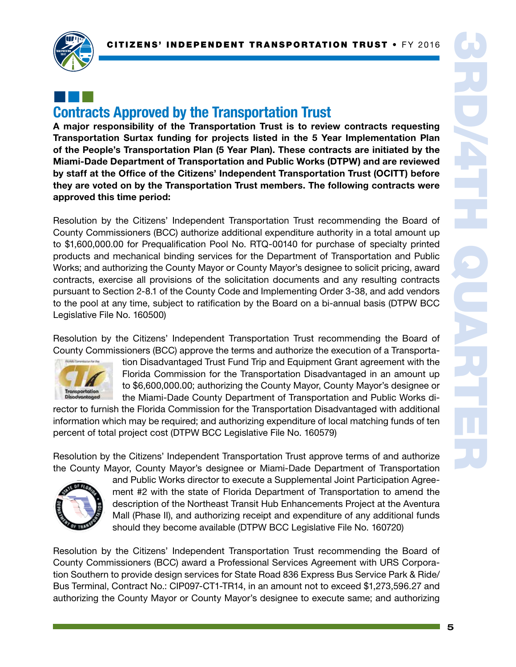

## ¢¢¢ Contracts Approved by the Transportation Trust

A major responsibility of the Transportation Trust is to review contracts requesting Transportation Surtax funding for projects listed in the 5 Year Implementation Plan of the People's Transportation Plan (5 Year Plan). These contracts are initiated by the Miami-Dade Department of Transportation and Public Works (DTPW) and are reviewed by staff at the Office of the Citizens' Independent Transportation Trust (OCITT) before they are voted on by the Transportation Trust members. The following contracts were approved this time period:

Resolution by the Citizens' Independent Transportation Trust recommending the Board of County Commissioners (BCC) authorize additional expenditure authority in a total amount up to \$1,600,000.00 for Prequalification Pool No. RTQ-00140 for purchase of specialty printed products and mechanical binding services for the Department of Transportation and Public Works; and authorizing the County Mayor or County Mayor's designee to solicit pricing, award contracts, exercise all provisions of the solicitation documents and any resulting contracts pursuant to Section 2-8.1 of the County Code and Implementing Order 3-38, and add vendors to the pool at any time, subject to ratification by the Board on a bi-annual basis (DTPW BCC Legislative File No. 160500)

Resolution by the Citizens' Independent Transportation Trust recommending the Board of County Commissioners (BCC) approve the terms and authorize the execution of a Transporta-



tion Disadvantaged Trust Fund Trip and Equipment Grant agreement with the Florida Commission for the Transportation Disadvantaged in an amount up to \$6,600,000.00; authorizing the County Mayor, County Mayor's designee or the Miami-Dade County Department of Transportation and Public Works di-

rector to furnish the Florida Commission for the Transportation Disadvantaged with additional information which may be required; and authorizing expenditure of local matching funds of ten percent of total project cost (DTPW BCC Legislative File No. 160579)

Resolution by the Citizens' Independent Transportation Trust approve terms of and authorize the County Mayor, County Mayor's designee or Miami-Dade Department of Transportation



and Public Works director to execute a Supplemental Joint Participation Agreement #2 with the state of Florida Department of Transportation to amend the description of the Northeast Transit Hub Enhancements Project at the Aventura Mall (Phase II), and authorizing receipt and expenditure of any additional funds should they become available (DTPW BCC Legislative File No. 160720)

Resolution by the Citizens' Independent Transportation Trust recommending the Board of County Commissioners (BCC) award a Professional Services Agreement with URS Corporation Southern to provide design services for State Road 836 Express Bus Service Park & Ride/ Bus Terminal, Contract No.: CIP097-CT1-TR14, in an amount not to exceed \$1,273,596.27 and authorizing the County Mayor or County Mayor's designee to execute same; and authorizing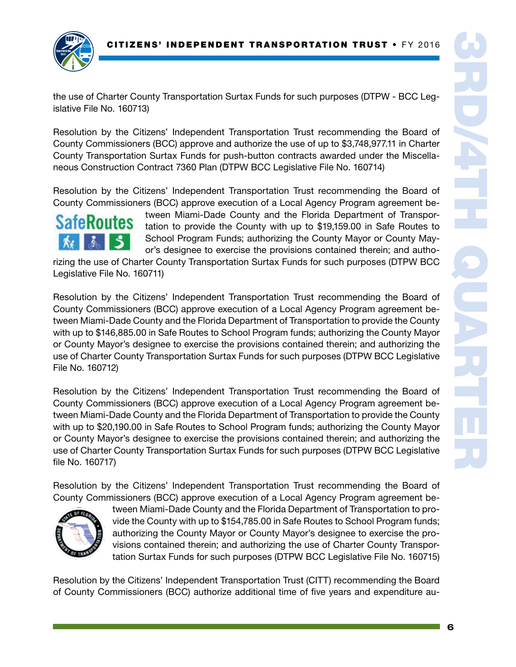

the use of Charter County Transportation Surtax Funds for such purposes (DTPW - BCC Legislative File No. 160713)

Resolution by the Citizens' Independent Transportation Trust recommending the Board of County Commissioners (BCC) approve and authorize the use of up to \$3,748,977.11 in Charter County Transportation Surtax Funds for push-button contracts awarded under the Miscellaneous Construction Contract 7360 Plan (DTPW BCC Legislative File No. 160714)

Resolution by the Citizens' Independent Transportation Trust recommending the Board of County Commissioners (BCC) approve execution of a Local Agency Program agreement be-



tween Miami-Dade County and the Florida Department of Transportation to provide the County with up to \$19,159.00 in Safe Routes to School Program Funds; authorizing the County Mayor or County Mayor's designee to exercise the provisions contained therein; and autho-

rizing the use of Charter County Transportation Surtax Funds for such purposes (DTPW BCC Legislative File No. 160711)

Resolution by the Citizens' Independent Transportation Trust recommending the Board of County Commissioners (BCC) approve execution of a Local Agency Program agreement between Miami-Dade County and the Florida Department of Transportation to provide the County with up to \$146,885.00 in Safe Routes to School Program funds; authorizing the County Mayor or County Mayor's designee to exercise the provisions contained therein; and authorizing the use of Charter County Transportation Surtax Funds for such purposes (DTPW BCC Legislative File No. 160712)

Resolution by the Citizens' Independent Transportation Trust recommending the Board of County Commissioners (BCC) approve execution of a Local Agency Program agreement between Miami-Dade County and the Florida Department of Transportation to provide the County with up to \$20,190.00 in Safe Routes to School Program funds; authorizing the County Mayor or County Mayor's designee to exercise the provisions contained therein; and authorizing the use of Charter County Transportation Surtax Funds for such purposes (DTPW BCC Legislative file No. 160717)

Resolution by the Citizens' Independent Transportation Trust recommending the Board of County Commissioners (BCC) approve execution of a Local Agency Program agreement be-



tween Miami-Dade County and the Florida Department of Transportation to provide the County with up to \$154,785.00 in Safe Routes to School Program funds; authorizing the County Mayor or County Mayor's designee to exercise the provisions contained therein; and authorizing the use of Charter County Transportation Surtax Funds for such purposes (DTPW BCC Legislative File No. 160715)

Resolution by the Citizens' Independent Transportation Trust (CITT) recommending the Board of County Commissioners (BCC) authorize additional time of five years and expenditure au-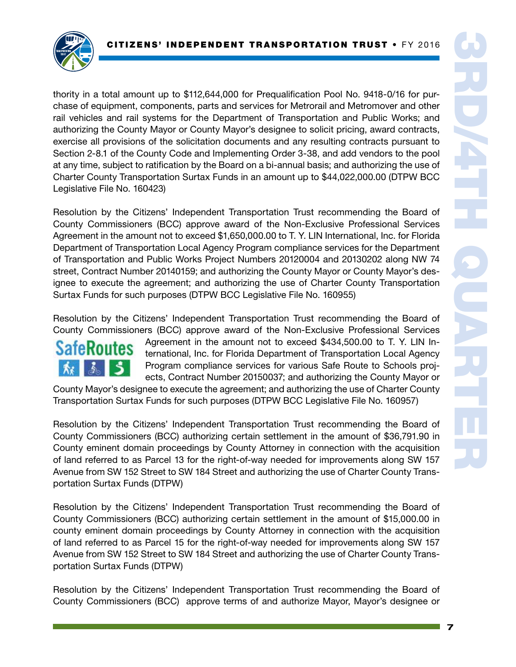

thority in a total amount up to \$112,644,000 for Prequalification Pool No. 9418-0/16 for purchase of equipment, components, parts and services for Metrorail and Metromover and other rail vehicles and rail systems for the Department of Transportation and Public Works; and authorizing the County Mayor or County Mayor's designee to solicit pricing, award contracts, exercise all provisions of the solicitation documents and any resulting contracts pursuant to Section 2-8.1 of the County Code and Implementing Order 3-38, and add vendors to the pool at any time, subject to ratification by the Board on a bi-annual basis; and authorizing the use of Charter County Transportation Surtax Funds in an amount up to \$44,022,000.00 (DTPW BCC Legislative File No. 160423)

Resolution by the Citizens' Independent Transportation Trust recommending the Board of County Commissioners (BCC) approve award of the Non-Exclusive Professional Services Agreement in the amount not to exceed \$1,650,000.00 to T. Y. LIN International, Inc. for Florida Department of Transportation Local Agency Program compliance services for the Department of Transportation and Public Works Project Numbers 20120004 and 20130202 along NW 74 street, Contract Number 20140159; and authorizing the County Mayor or County Mayor's designee to execute the agreement; and authorizing the use of Charter County Transportation Surtax Funds for such purposes (DTPW BCC Legislative File No. 160955)

Resolution by the Citizens' Independent Transportation Trust recommending the Board of County Commissioners (BCC) approve award of the Non-Exclusive Professional Services



Agreement in the amount not to exceed \$434,500.00 to T. Y. LIN International, Inc. for Florida Department of Transportation Local Agency Program compliance services for various Safe Route to Schools projects, Contract Number 20150037; and authorizing the County Mayor or

County Mayor's designee to execute the agreement; and authorizing the use of Charter County Transportation Surtax Funds for such purposes (DTPW BCC Legislative File No. 160957)

Resolution by the Citizens' Independent Transportation Trust recommending the Board of County Commissioners (BCC) authorizing certain settlement in the amount of \$36,791.90 in County eminent domain proceedings by County Attorney in connection with the acquisition of land referred to as Parcel 13 for the right-of-way needed for improvements along SW 157 Avenue from SW 152 Street to SW 184 Street and authorizing the use of Charter County Transportation Surtax Funds (DTPW)

Resolution by the Citizens' Independent Transportation Trust recommending the Board of County Commissioners (BCC) authorizing certain settlement in the amount of \$15,000.00 in county eminent domain proceedings by County Attorney in connection with the acquisition of land referred to as Parcel 15 for the right-of-way needed for improvements along SW 157 Avenue from SW 152 Street to SW 184 Street and authorizing the use of Charter County Transportation Surtax Funds (DTPW)

Resolution by the Citizens' Independent Transportation Trust recommending the Board of County Commissioners (BCC) approve terms of and authorize Mayor, Mayor's designee or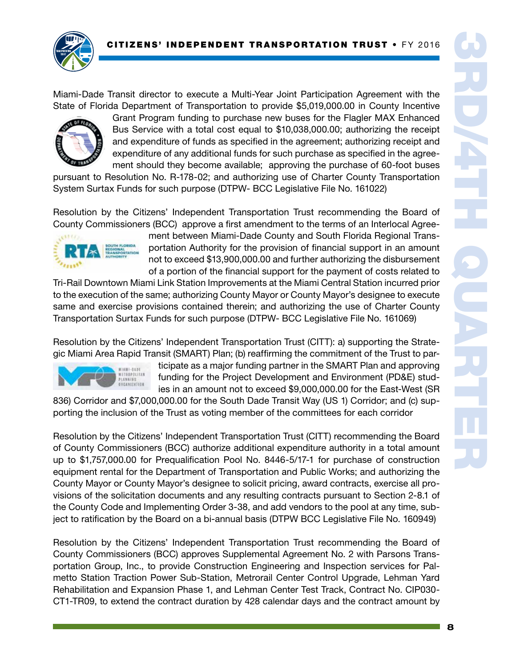

Miami-Dade Transit director to execute a Multi-Year Joint Participation Agreement with the State of Florida Department of Transportation to provide \$5,019,000.00 in County Incentive



Grant Program funding to purchase new buses for the Flagler MAX Enhanced Bus Service with a total cost equal to \$10,038,000.00; authorizing the receipt and expenditure of funds as specified in the agreement; authorizing receipt and expenditure of any additional funds for such purchase as specified in the agreement should they become available; approving the purchase of 60-foot buses

pursuant to Resolution No. R-178-02; and authorizing use of Charter County Transportation System Surtax Funds for such purpose (DTPW- BCC Legislative File No. 161022)

Resolution by the Citizens' Independent Transportation Trust recommending the Board of County Commissioners (BCC) approve a first amendment to the terms of an Interlocal Agree-



ment between Miami-Dade County and South Florida Regional Transportation Authority for the provision of financial support in an amount not to exceed \$13,900,000.00 and further authorizing the disbursement of a portion of the financial support for the payment of costs related to

Tri-Rail Downtown Miami Link Station Improvements at the Miami Central Station incurred prior to the execution of the same; authorizing County Mayor or County Mayor's designee to execute same and exercise provisions contained therein; and authorizing the use of Charter County Transportation Surtax Funds for such purpose (DTPW- BCC Legislative File No. 161069)

Resolution by the Citizens' Independent Transportation Trust (CITT): a) supporting the Strategic Miami Area Rapid Transit (SMART) Plan; (b) reaffirming the commitment of the Trust to par-



ticipate as a major funding partner in the SMART Plan and approving funding for the Project Development and Environment (PD&E) studies in an amount not to exceed \$9,000,000.00 for the East-West (SR

836) Corridor and \$7,000,000.00 for the South Dade Transit Way (US 1) Corridor; and (c) supporting the inclusion of the Trust as voting member of the committees for each corridor

Resolution by the Citizens' Independent Transportation Trust (CITT) recommending the Board of County Commissioners (BCC) authorize additional expenditure authority in a total amount up to \$1,757,000.00 for Prequalification Pool No. 8446-5/17-1 for purchase of construction equipment rental for the Department of Transportation and Public Works; and authorizing the County Mayor or County Mayor's designee to solicit pricing, award contracts, exercise all provisions of the solicitation documents and any resulting contracts pursuant to Section 2-8.1 of the County Code and Implementing Order 3-38, and add vendors to the pool at any time, subject to ratification by the Board on a bi-annual basis (DTPW BCC Legislative File No. 160949)

Resolution by the Citizens' Independent Transportation Trust recommending the Board of County Commissioners (BCC) approves Supplemental Agreement No. 2 with Parsons Transportation Group, Inc., to provide Construction Engineering and Inspection services for Palmetto Station Traction Power Sub-Station, Metrorail Center Control Upgrade, Lehman Yard Rehabilitation and Expansion Phase 1, and Lehman Center Test Track, Contract No. CIP030- CT1-TR09, to extend the contract duration by 428 calendar days and the contract amount by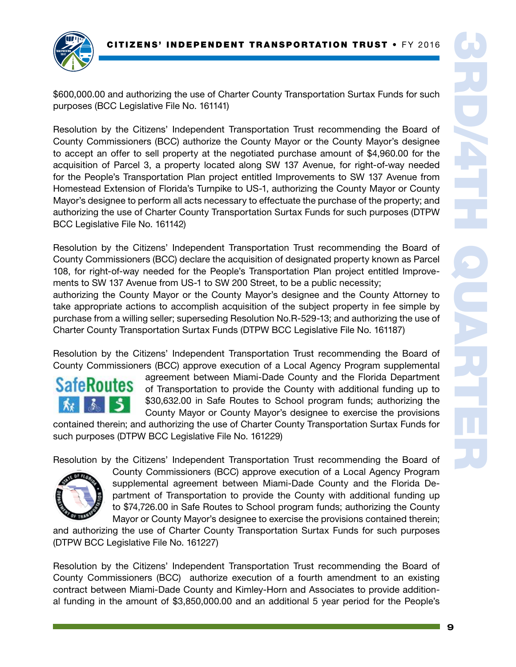

\$600,000.00 and authorizing the use of Charter County Transportation Surtax Funds for such purposes (BCC Legislative File No. 161141)

Resolution by the Citizens' Independent Transportation Trust recommending the Board of County Commissioners (BCC) authorize the County Mayor or the County Mayor's designee to accept an offer to sell property at the negotiated purchase amount of \$4,960.00 for the acquisition of Parcel 3, a property located along SW 137 Avenue, for right-of-way needed for the People's Transportation Plan project entitled Improvements to SW 137 Avenue from Homestead Extension of Florida's Turnpike to US-1, authorizing the County Mayor or County Mayor's designee to perform all acts necessary to effectuate the purchase of the property; and authorizing the use of Charter County Transportation Surtax Funds for such purposes (DTPW BCC Legislative File No. 161142)

Resolution by the Citizens' Independent Transportation Trust recommending the Board of County Commissioners (BCC) declare the acquisition of designated property known as Parcel 108, for right-of-way needed for the People's Transportation Plan project entitled Improvements to SW 137 Avenue from US-1 to SW 200 Street, to be a public necessity; authorizing the County Mayor or the County Mayor's designee and the County Attorney to

take appropriate actions to accomplish acquisition of the subject property in fee simple by purchase from a willing seller; superseding Resolution No.R-529-13; and authorizing the use of Charter County Transportation Surtax Funds (DTPW BCC Legislative File No. 161187)

Resolution by the Citizens' Independent Transportation Trust recommending the Board of County Commissioners (BCC) approve execution of a Local Agency Program supplemental

# **SafeRoutes**

agreement between Miami-Dade County and the Florida Department of Transportation to provide the County with additional funding up to \$30,632.00 in Safe Routes to School program funds; authorizing the County Mayor or County Mayor's designee to exercise the provisions

contained therein; and authorizing the use of Charter County Transportation Surtax Funds for such purposes (DTPW BCC Legislative File No. 161229)

Resolution by the Citizens' Independent Transportation Trust recommending the Board of



County Commissioners (BCC) approve execution of a Local Agency Program supplemental agreement between Miami-Dade County and the Florida Department of Transportation to provide the County with additional funding up to \$74,726.00 in Safe Routes to School program funds; authorizing the County Mayor or County Mayor's designee to exercise the provisions contained therein;

and authorizing the use of Charter County Transportation Surtax Funds for such purposes (DTPW BCC Legislative File No. 161227)

Resolution by the Citizens' Independent Transportation Trust recommending the Board of County Commissioners (BCC) authorize execution of a fourth amendment to an existing contract between Miami-Dade County and Kimley-Horn and Associates to provide additional funding in the amount of \$3,850,000.00 and an additional 5 year period for the People's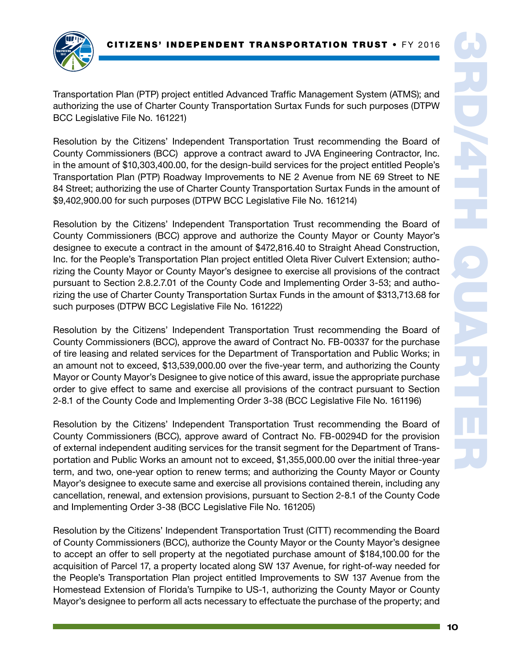

Transportation Plan (PTP) project entitled Advanced Traffic Management System (ATMS); and authorizing the use of Charter County Transportation Surtax Funds for such purposes (DTPW BCC Legislative File No. 161221)

Resolution by the Citizens' Independent Transportation Trust recommending the Board of County Commissioners (BCC) approve a contract award to JVA Engineering Contractor, Inc. in the amount of \$10,303,400.00, for the design-build services for the project entitled People's Transportation Plan (PTP) Roadway Improvements to NE 2 Avenue from NE 69 Street to NE 84 Street; authorizing the use of Charter County Transportation Surtax Funds in the amount of \$9,402,900.00 for such purposes (DTPW BCC Legislative File No. 161214)

Resolution by the Citizens' Independent Transportation Trust recommending the Board of County Commissioners (BCC) approve and authorize the County Mayor or County Mayor's designee to execute a contract in the amount of \$472,816.40 to Straight Ahead Construction, Inc. for the People's Transportation Plan project entitled Oleta River Culvert Extension; authorizing the County Mayor or County Mayor's designee to exercise all provisions of the contract pursuant to Section 2.8.2.7.01 of the County Code and Implementing Order 3-53; and authorizing the use of Charter County Transportation Surtax Funds in the amount of \$313,713.68 for such purposes (DTPW BCC Legislative File No. 161222)

Resolution by the Citizens' Independent Transportation Trust recommending the Board of County Commissioners (BCC), approve the award of Contract No. FB-00337 for the purchase of tire leasing and related services for the Department of Transportation and Public Works; in an amount not to exceed, \$13,539,000.00 over the five-year term, and authorizing the County Mayor or County Mayor's Designee to give notice of this award, issue the appropriate purchase order to give effect to same and exercise all provisions of the contract pursuant to Section 2-8.1 of the County Code and Implementing Order 3-38 (BCC Legislative File No. 161196)

Resolution by the Citizens' Independent Transportation Trust recommending the Board of County Commissioners (BCC), approve award of Contract No. FB-00294D for the provision of external independent auditing services for the transit segment for the Department of Transportation and Public Works an amount not to exceed, \$1,355,000.00 over the initial three-year term, and two, one-year option to renew terms; and authorizing the County Mayor or County Mayor's designee to execute same and exercise all provisions contained therein, including any cancellation, renewal, and extension provisions, pursuant to Section 2-8.1 of the County Code and Implementing Order 3-38 (BCC Legislative File No. 161205)

Resolution by the Citizens' Independent Transportation Trust (CITT) recommending the Board of County Commissioners (BCC), authorize the County Mayor or the County Mayor's designee to accept an offer to sell property at the negotiated purchase amount of \$184,100.00 for the acquisition of Parcel 17, a property located along SW 137 Avenue, for right-of-way needed for the People's Transportation Plan project entitled Improvements to SW 137 Avenue from the Homestead Extension of Florida's Turnpike to US-1, authorizing the County Mayor or County Mayor's designee to perform all acts necessary to effectuate the purchase of the property; and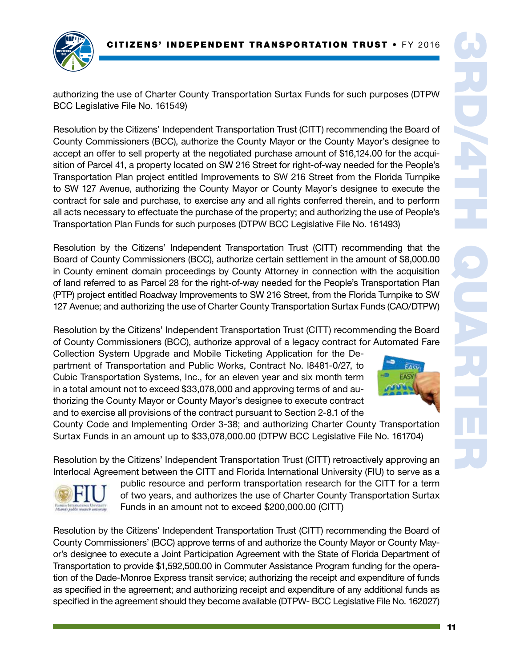

authorizing the use of Charter County Transportation Surtax Funds for such purposes (DTPW BCC Legislative File No. 161549)

Resolution by the Citizens' Independent Transportation Trust (CITT) recommending the Board of County Commissioners (BCC), authorize the County Mayor or the County Mayor's designee to accept an offer to sell property at the negotiated purchase amount of \$16,124.00 for the acquisition of Parcel 41, a property located on SW 216 Street for right-of-way needed for the People's Transportation Plan project entitled Improvements to SW 216 Street from the Florida Turnpike to SW 127 Avenue, authorizing the County Mayor or County Mayor's designee to execute the contract for sale and purchase, to exercise any and all rights conferred therein, and to perform all acts necessary to effectuate the purchase of the property; and authorizing the use of People's Transportation Plan Funds for such purposes (DTPW BCC Legislative File No. 161493)

Resolution by the Citizens' Independent Transportation Trust (CITT) recommending that the Board of County Commissioners (BCC), authorize certain settlement in the amount of \$8,000.00 in County eminent domain proceedings by County Attorney in connection with the acquisition of land referred to as Parcel 28 for the right-of-way needed for the People's Transportation Plan (PTP) project entitled Roadway Improvements to SW 216 Street, from the Florida Turnpike to SW 127 Avenue; and authorizing the use of Charter County Transportation Surtax Funds (CAO/DTPW)

Resolution by the Citizens' Independent Transportation Trust (CITT) recommending the Board of County Commissioners (BCC), authorize approval of a legacy contract for Automated Fare

Collection System Upgrade and Mobile Ticketing Application for the Department of Transportation and Public Works, Contract No. l8481-0/27, to Cubic Transportation Systems, Inc., for an eleven year and six month term in a total amount not to exceed \$33,078,000 and approving terms of and authorizing the County Mayor or County Mayor's designee to execute contract and to exercise all provisions of the contract pursuant to Section 2-8.1 of the

County Code and Implementing Order 3-38; and authorizing Charter County Transportation Surtax Funds in an amount up to \$33,078,000.00 (DTPW BCC Legislative File No. 161704)

Resolution by the Citizens' Independent Transportation Trust (CITT) retroactively approving an Interlocal Agreement between the CITT and Florida International University (FIU) to serve as a



public resource and perform transportation research for the CITT for a term of two years, and authorizes the use of Charter County Transportation Surtax Funds in an amount not to exceed \$200,000.00 (CITT)

Resolution by the Citizens' Independent Transportation Trust (CITT) recommending the Board of County Commissioners' (BCC) approve terms of and authorize the County Mayor or County Mayor's designee to execute a Joint Participation Agreement with the State of Florida Department of Transportation to provide \$1,592,500.00 in Commuter Assistance Program funding for the operation of the Dade-Monroe Express transit service; authorizing the receipt and expenditure of funds as specified in the agreement; and authorizing receipt and expenditure of any additional funds as specified in the agreement should they become available (DTPW- BCC Legislative File No. 162027)

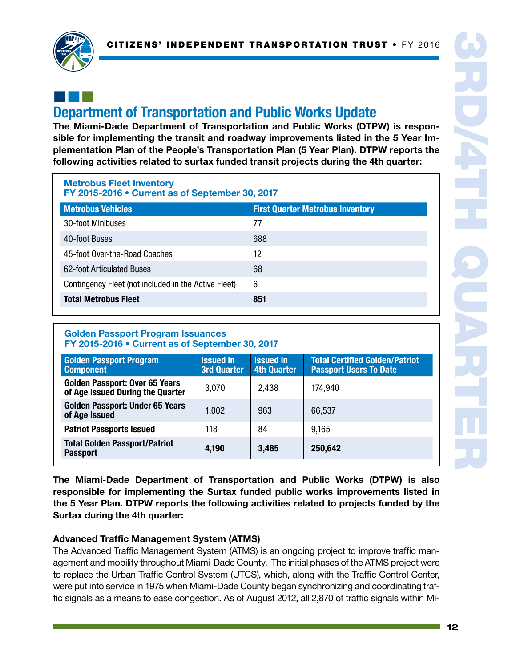

## ¢¢¢ Department of Transportation and Public Works Update

The Miami-Dade Department of Transportation and Public Works (DTPW) is responsible for implementing the transit and roadway improvements listed in the 5 Year Implementation Plan of the People's Transportation Plan (5 Year Plan). DTPW reports the following activities related to surtax funded transit projects during the 4th quarter:

| <b>Metrobus Fleet Inventory</b><br>FY 2015-2016 • Current as of September 30, 2017 |                                         |  |  |
|------------------------------------------------------------------------------------|-----------------------------------------|--|--|
| <b>Metrobus Vehicles</b>                                                           | <b>First Quarter Metrobus Inventory</b> |  |  |
| 30-foot Minibuses                                                                  | 77                                      |  |  |
| 40-foot Buses                                                                      | 688                                     |  |  |
| 45-foot Over-the-Road Coaches                                                      | 12                                      |  |  |
| 62-foot Articulated Buses                                                          | 68                                      |  |  |
| Contingency Fleet (not included in the Active Fleet)                               | 6                                       |  |  |
| <b>Total Metrobus Fleet</b>                                                        | 851                                     |  |  |

#### Golden Passport Program Issuances FY 2015-2016 • Current as of September 30, 2017

| <b>Golden Passport Program</b><br><b>Component</b>                        | <b>Issued in</b><br><b>3rd Quarter</b> | <b>Issued in</b><br><b>4th Quarter</b> | <b>Total Certified Golden/Patriot</b><br><b>Passport Users To Date</b> |
|---------------------------------------------------------------------------|----------------------------------------|----------------------------------------|------------------------------------------------------------------------|
| <b>Golden Passport: Over 65 Years</b><br>of Age Issued During the Quarter | 3,070                                  | 2,438                                  | 174,940                                                                |
| <b>Golden Passport: Under 65 Years</b><br>of Age Issued                   | 1.002                                  | 963                                    | 66,537                                                                 |
| <b>Patriot Passports Issued</b>                                           | 118                                    | 84                                     | 9,165                                                                  |
| <b>Total Golden Passport/Patriot</b><br><b>Passport</b>                   | 4,190                                  | 3,485                                  | 250,642                                                                |

The Miami-Dade Department of Transportation and Public Works (DTPW) is also responsible for implementing the Surtax funded public works improvements listed in the 5 Year Plan. DTPW reports the following activities related to projects funded by the Surtax during the 4th quarter:

### Advanced Traffic Management System (ATMS)

The Advanced Traffic Management System (ATMS) is an ongoing project to improve traffic management and mobility throughout Miami-Dade County. The initial phases of the ATMS project were to replace the Urban Traffic Control System (UTCS), which, along with the Traffic Control Center, were put into service in 1975 when Miami-Dade County began synchronizing and coordinating traffic signals as a means to ease congestion. As of August 2012, all 2,870 of traffic signals within Mi-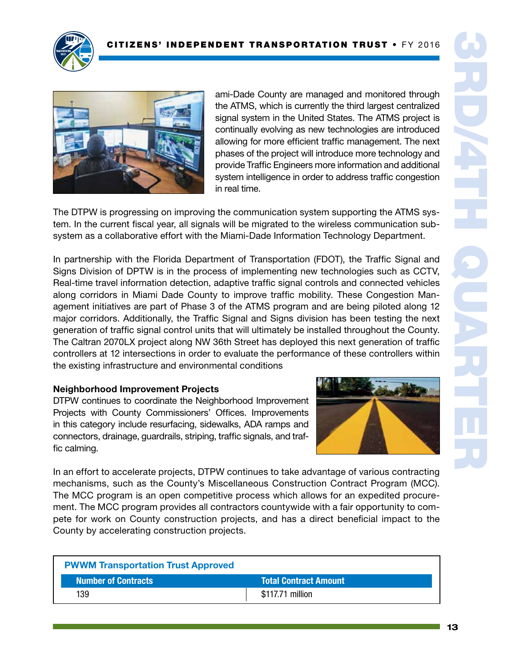



ami-Dade County are managed and monitored through the ATMS, which is currently the third largest centralized signal system in the United States. The ATMS project is continually evolving as new technologies are introduced allowing for more efficient traffic management. The next phases of the project will introduce more technology and provide Traffic Engineers more information and additional system intelligence in order to address traffic congestion in real time.

The DTPW is progressing on improving the communication system supporting the ATMS system. In the current fiscal year, all signals will be migrated to the wireless communication subsystem as a collaborative effort with the Miami-Dade Information Technology Department.

In partnership with the Florida Department of Transportation (FDOT), the Traffic Signal and Signs Division of DPTW is in the process of implementing new technologies such as CCTV, Real-time travel information detection, adaptive traffic signal controls and connected vehicles along corridors in Miami Dade County to improve traffic mobility. These Congestion Management initiatives are part of Phase 3 of the ATMS program and are being piloted along 12 major corridors. Additionally, the Traffic Signal and Signs division has been testing the next generation of traffic signal control units that will ultimately be installed throughout the County. The Caltran 2070LX project along NW 36th Street has deployed this next generation of traffic controllers at 12 intersections in order to evaluate the performance of these controllers within the existing infrastructure and environmental conditions

### Neighborhood Improvement Projects

DTPW continues to coordinate the Neighborhood Improvement Projects with County Commissioners' Offices. Improvements in this category include resurfacing, sidewalks, ADA ramps and connectors, drainage, guardrails, striping, traffic signals, and traffic calming.



In an effort to accelerate projects, DTPW continues to take advantage of various contracting mechanisms, such as the County's Miscellaneous Construction Contract Program (MCC). The MCC program is an open competitive process which allows for an expedited procurement. The MCC program provides all contractors countywide with a fair opportunity to compete for work on County construction projects, and has a direct beneficial impact to the County by accelerating construction projects.

| <b>PWWM Transportation Trust Approved</b> |                       |
|-------------------------------------------|-----------------------|
| <b>Number of Contracts</b>                | Total Contract Amount |
| 139                                       | \$117.71 million      |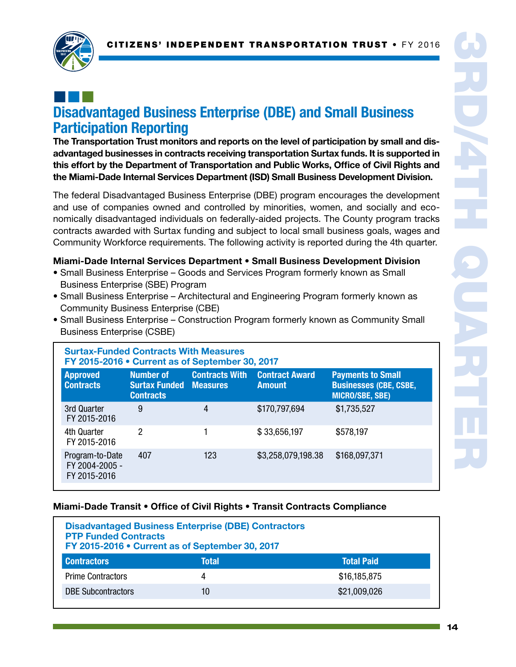

## ¢¢¢ Disadvantaged Business Enterprise (DBE) and Small Business Participation Reporting

The Transportation Trust monitors and reports on the level of participation by small and disadvantaged businesses in contracts receiving transportation Surtax funds. It is supported in this effort by the Department of Transportation and Public Works, Office of Civil Rights and the Miami-Dade Internal Services Department (ISD) Small Business Development Division.

The federal Disadvantaged Business Enterprise (DBE) program encourages the development and use of companies owned and controlled by minorities, women, and socially and economically disadvantaged individuals on federally-aided projects. The County program tracks contracts awarded with Surtax funding and subject to local small business goals, wages and Community Workforce requirements. The following activity is reported during the 4th quarter.

#### Miami-Dade Internal Services Department • Small Business Development Division

- Small Business Enterprise Goods and Services Program formerly known as Small Business Enterprise (SBE) Program
- Small Business Enterprise Architectural and Engineering Program formerly known as Community Business Enterprise (CBE)
- Small Business Enterprise Construction Program formerly known as Community Small Business Enterprise (CSBE)

| <b>Surtax-Funded Contracts With Measures</b><br>FY 2015-2016 • Current as of September 30, 2017 |                                                       |                                          |                                        |                                                                                     |
|-------------------------------------------------------------------------------------------------|-------------------------------------------------------|------------------------------------------|----------------------------------------|-------------------------------------------------------------------------------------|
| <b>Approved</b><br><b>Contracts</b>                                                             | Number of<br><b>Surtax Funded</b><br><b>Contracts</b> | <b>Contracts With</b><br><b>Measures</b> | <b>Contract Award</b><br><b>Amount</b> | <b>Payments to Small</b><br><b>Businesses (CBE, CSBE,</b><br><b>MICRO/SBE, SBE)</b> |
| 3rd Quarter<br>FY 2015-2016                                                                     | 9                                                     | 4                                        | \$170,797,694                          | \$1,735,527                                                                         |
| 4th Quarter<br>FY 2015-2016                                                                     | 2                                                     |                                          | \$33,656,197                           | \$578,197                                                                           |
| Program-to-Date<br>FY 2004-2005 -<br>FY 2015-2016                                               | 407                                                   | 123                                      | \$3,258,079,198.38                     | \$168,097,371                                                                       |

#### Miami-Dade Transit • Office of Civil Rights • Transit Contracts Compliance

| <b>Disadvantaged Business Enterprise (DBE) Contractors</b><br><b>PTP Funded Contracts</b><br>FY 2015-2016 • Current as of September 30, 2017 |       |                   |  |
|----------------------------------------------------------------------------------------------------------------------------------------------|-------|-------------------|--|
| <b>Contractors</b>                                                                                                                           | Total | <b>Total Paid</b> |  |
| <b>Prime Contractors</b>                                                                                                                     | 4     | \$16,185,875      |  |
| <b>DBE Subcontractors</b>                                                                                                                    | 10    | \$21,009,026      |  |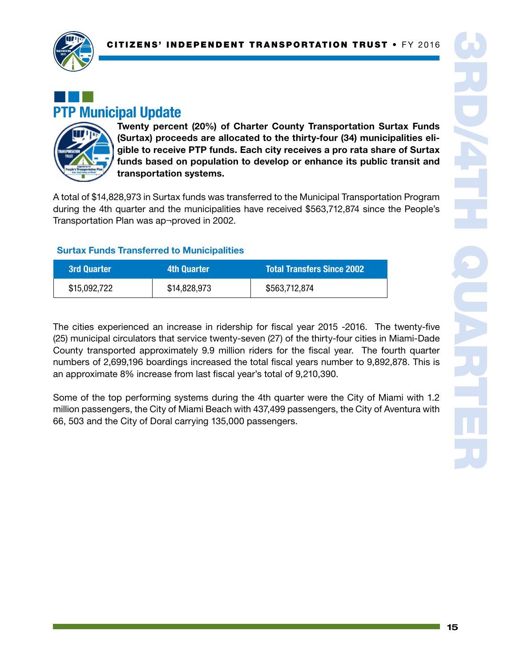

## ¢¢¢ PTP Municipal Update



Twenty percent (20%) of Charter County Transportation Surtax Funds (Surtax) proceeds are allocated to the thirty-four (34) municipalities eligible to receive PTP funds. Each city receives a pro rata share of Surtax funds based on population to develop or enhance its public transit and transportation systems.

A total of \$14,828,973 in Surtax funds was transferred to the Municipal Transportation Program during the 4th quarter and the municipalities have received \$563,712,874 since the People's Transportation Plan was ap¬proved in 2002.

## Surtax Funds Transferred to Municipalities

| <b>3rd Quarter</b> | 4th Quarter  | <b>Total Transfers Since 2002</b> |
|--------------------|--------------|-----------------------------------|
| \$15,092,722       | \$14,828,973 | \$563,712,874                     |

The cities experienced an increase in ridership for fiscal year 2015 -2016. The twenty-five (25) municipal circulators that service twenty-seven (27) of the thirty-four cities in Miami-Dade County transported approximately 9.9 million riders for the fiscal year. The fourth quarter numbers of 2,699,196 boardings increased the total fiscal years number to 9,892,878. This is an approximate 8% increase from last fiscal year's total of 9,210,390.

Some of the top performing systems during the 4th quarter were the City of Miami with 1.2 million passengers, the City of Miami Beach with 437,499 passengers, the City of Aventura with 66, 503 and the City of Doral carrying 135,000 passengers.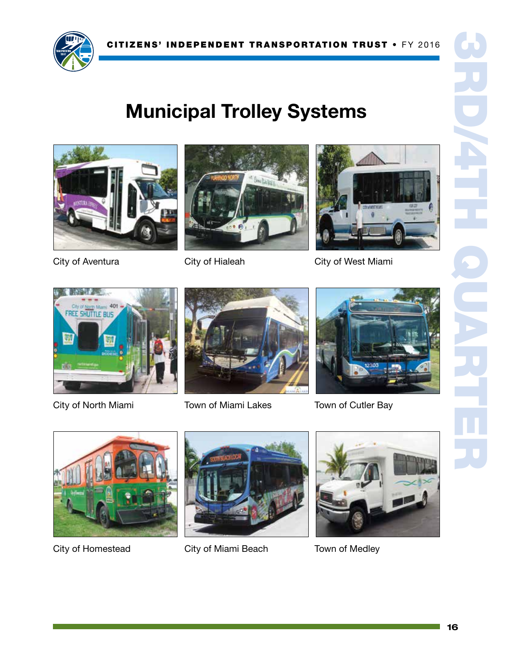

## Municipal Trolley Systems







City of West Miami



City of Hialeah



City of North Miami



Town of Miami Lakes



Town of Cutler Bay



City of Homestead



City of Miami Beach



Town of Medley

1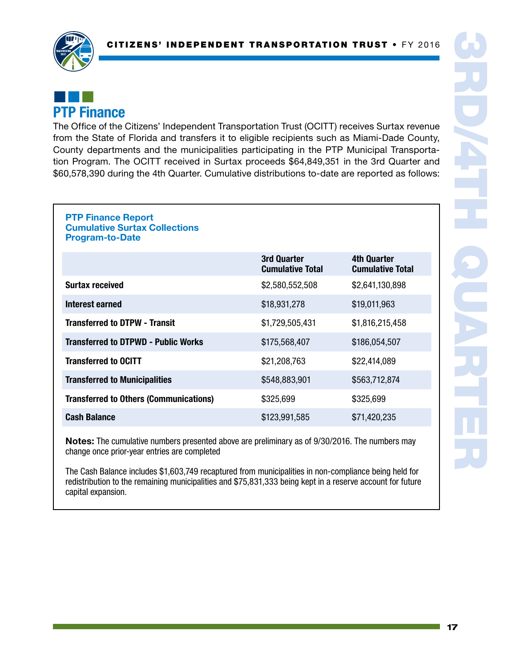

## ¢¢¢ PTP Finance

The Office of the Citizens' Independent Transportation Trust (OCITT) receives Surtax revenue from the State of Florida and transfers it to eligible recipients such as Miami-Dade County, County departments and the municipalities participating in the PTP Municipal Transportation Program. The OCITT received in Surtax proceeds \$64,849,351 in the 3rd Quarter and \$60,578,390 during the 4th Quarter. Cumulative distributions to-date are reported as follows:

#### PTP Finance Report Cumulative Surtax Collections Program-to-Date

|                                               | 3rd Quarter<br><b>Cumulative Total</b> | <b>4th Quarter</b><br><b>Cumulative Total</b> |
|-----------------------------------------------|----------------------------------------|-----------------------------------------------|
| <b>Surtax received</b>                        | \$2,580,552,508                        | \$2,641,130,898                               |
| Interest earned                               | \$18,931,278                           | \$19,011,963                                  |
| <b>Transferred to DTPW - Transit</b>          | \$1,729,505,431                        | \$1,816,215,458                               |
| <b>Transferred to DTPWD - Public Works</b>    | \$175,568,407                          | \$186,054,507                                 |
| <b>Transferred to OCITT</b>                   | \$21,208,763                           | \$22,414,089                                  |
| <b>Transferred to Municipalities</b>          | \$548,883,901                          | \$563,712,874                                 |
| <b>Transferred to Others (Communications)</b> | \$325,699                              | \$325,699                                     |
| <b>Cash Balance</b>                           | \$123,991,585                          | \$71,420,235                                  |

Notes: The cumulative numbers presented above are preliminary as of 9/30/2016. The numbers may change once prior-year entries are completed

The Cash Balance includes \$1,603,749 recaptured from municipalities in non-compliance being held for redistribution to the remaining municipalities and \$75,831,333 being kept in a reserve account for future capital expansion.